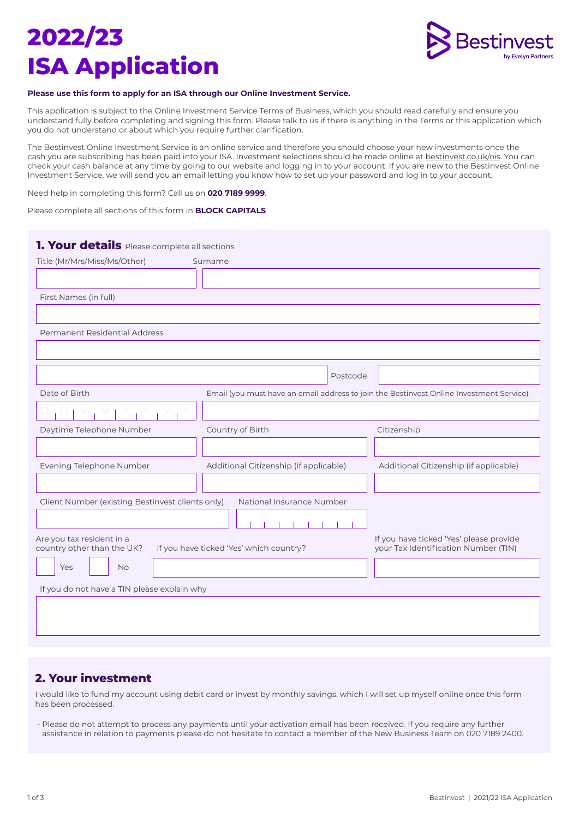# **2022/23 ISA Application**



### **Please use this form to apply for an ISA through our Online Investment Service.**

This application is subject to the Online Investment Service Terms of Business, which you should read carefully and ensure you understand fully before completing and signing this form. Please talk to us if there is anything in the Terms or this application which you do not understand or about which you require further clarification.

The Bestinvest Online Investment Service is an online service and therefore you should choose your new investments once the cash you are subscribing has been paid into your ISA. Investment selections should be made online at bestinvest.co.uk/ois. You can check your cash balance at any time by going to our website and logging in to your account. If you are new to the Bestinvest Online Investment Service, we will send you an email letting you know how to set up your password and log in to your account.

Need help in completing this form? Call us on **020 7189 9999**.

Please complete all sections of this form in **BLOCK CAPITALS**

| Title (Mr/Mrs/Miss/Ms/Other)                            | Surname                                                                                 |                                                                                 |
|---------------------------------------------------------|-----------------------------------------------------------------------------------------|---------------------------------------------------------------------------------|
|                                                         |                                                                                         |                                                                                 |
| First Names (in full)                                   |                                                                                         |                                                                                 |
|                                                         |                                                                                         |                                                                                 |
| Permanent Residential Address                           |                                                                                         |                                                                                 |
|                                                         |                                                                                         |                                                                                 |
|                                                         | Postcode                                                                                |                                                                                 |
| Date of Birth                                           | Email (you must have an email address to join the Bestinvest Online Investment Service) |                                                                                 |
|                                                         |                                                                                         |                                                                                 |
| Daytime Telephone Number                                | Country of Birth                                                                        | Citizenship                                                                     |
|                                                         |                                                                                         |                                                                                 |
| Evening Telephone Number                                | Additional Citizenship (if applicable)                                                  | Additional Citizenship (if applicable)                                          |
|                                                         |                                                                                         |                                                                                 |
| Client Number (existing Bestinvest clients only)        | National Insurance Number                                                               |                                                                                 |
|                                                         |                                                                                         |                                                                                 |
| Are you tax resident in a<br>country other than the UK? | If you have ticked 'Yes' which country?                                                 | If you have ticked 'Yes' please provide<br>your Tax Identification Number (TIN) |
| Yes<br><b>No</b>                                        |                                                                                         |                                                                                 |
| If you do not have a TIN please explain why             |                                                                                         |                                                                                 |
|                                                         |                                                                                         |                                                                                 |
|                                                         |                                                                                         |                                                                                 |
|                                                         |                                                                                         |                                                                                 |

### **2. Your investment**

I would like to fund my account using debit card or invest by monthly savings, which I will set up myself online once this form has been processed.

- Please do not attempt to process any payments until your activation email has been received. If you require any further assistance in relation to payments please do not hesitate to contact a member of the New Business Team on 020 7189 2400.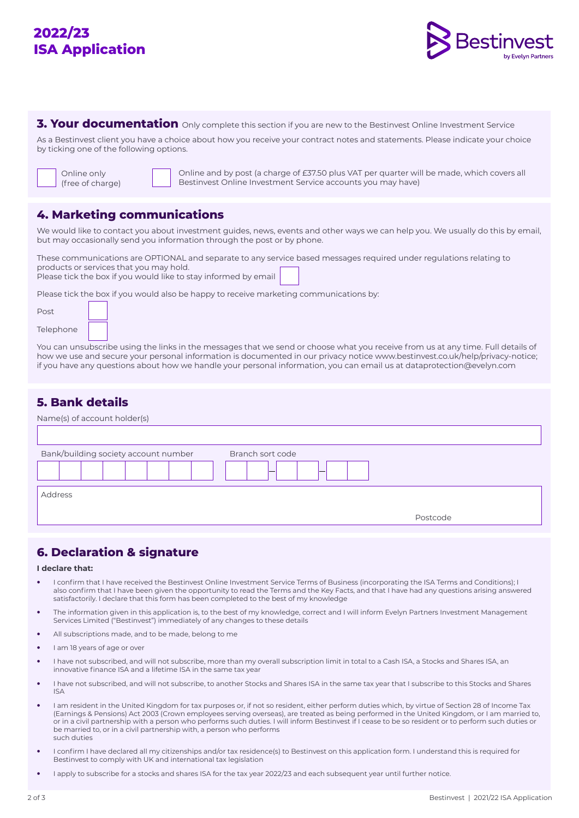# **2022/23 ISA Application**



**3. Your documentation** Only complete this section if you are new to the Bestinvest Online Investment Service

As a Bestinvest client you have a choice about how you receive your contract notes and statements. Please indicate your choice by ticking one of the following options.

Online only (free of charge)

Online and by post (a charge of £37.50 plus VAT per quarter will be made, which covers all Bestinvest Online Investment Service accounts you may have)

### **4. Marketing communications**

We would like to contact you about investment guides, news, events and other ways we can help you. We usually do this by email, but may occasionally send you information through the post or by phone.

These communications are OPTIONAL and separate to any service based messages required under regulations relating to products or services that you may hold. Please tick the box if you would like to stay informed by email

Please tick the box if you would also be happy to receive marketing communications by:

| Post      |  |
|-----------|--|
| Telephone |  |

You can unsubscribe using the links in the messages that we send or choose what you receive from us at any time. Full details of how we use and secure your personal information is documented in our privacy notice www.bestinvest.co.uk/help/privacy-notice; if you have any questions about how we handle your personal information, you can email us at dataprotection@evelyn.com

## **5. Bank details**

| Name(s) of account holder(s)         |                  |          |
|--------------------------------------|------------------|----------|
|                                      |                  |          |
| Bank/building society account number | Branch sort code |          |
| Address                              |                  |          |
|                                      |                  | Postcode |

# **6. Declaration & signature**

#### **I declare that:**

- **•** I confirm that I have received the Bestinvest Online Investment Service Terms of Business (incorporating the ISA Terms and Conditions); I also confirm that I have been given the opportunity to read the Terms and the Key Facts, and that I have had any questions arising answered satisfactorily. I declare that this form has been completed to the best of my knowledge
- **•** The information given in this application is, to the best of my knowledge, correct and I will inform Evelyn Partners Investment Management Services Limited ("Bestinvest") immediately of any changes to these details
- **•** All subscriptions made, and to be made, belong to me
- **•** I am 18 years of age or over
- **•** I have not subscribed, and will not subscribe, more than my overall subscription limit in total to a Cash ISA, a Stocks and Shares ISA, an innovative finance ISA and a lifetime ISA in the same tax year
- **•** I have not subscribed, and will not subscribe, to another Stocks and Shares ISA in the same tax year that I subscribe to this Stocks and Shares ISA
- **•** I am resident in the United Kingdom for tax purposes or, if not so resident, either perform duties which, by virtue of Section 28 of Income Tax (Earnings & Pensions) Act 2003 (Crown employees serving overseas), are treated as being performed in the United Kingdom, or I am married to, or in a civil partnership with a person who performs such duties. I will inform Bestinvest if I cease to be so resident or to perform such duties or be married to, or in a civil partnership with, a person who performs such duties
- **•** I confirm I have declared all my citizenships and/or tax residence(s) to Bestinvest on this application form. I understand this is required for Bestinvest to comply with UK and international tax legislation
- **•** I apply to subscribe for a stocks and shares ISA for the tax year 2022/23 and each subsequent year until further notice.